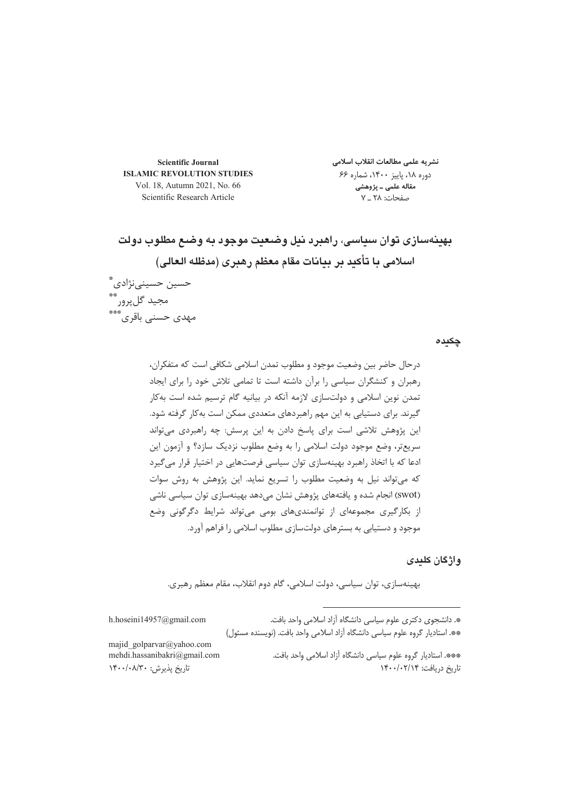**Scientific Journal ISLAMIC REVOLUTION STUDIES** Vol. 18, Autumn 2021, No. 66 Scientific Research Article

نشريه علمى مطالعات انقلاب اسلامى دوره ۱۸، پاییز ۱۴۰۰، شماره ۶۶ .<br>مقاله علمی ـ پژوهشی صفحات: ۲۸ \_ ۷

بهينهسازي توان سياسي، راهبرد نيل وضعيت موجود به وضع مطلوب دولت اسلامی با تأکید بر بیانات مقام معظم رهبری (مدظله العالی)

حسین حسینینژادی ؓ<br>مجید گلپرور ؓ<br>مهدی حسنی باقری ؓ

چکیدہ

واژگان کلیدی

بهینهسازی، توان سیاسی، دولت اسلامی، گام دوم انقلاب، مقام معظم رهبری.

h.hoseini14957@gmail.com

\*. دانشجوی دکتری علوم سیاسی دانشگاه آزاد اسلامی واحد بافت. \*\*. استادیار گروه علوم سیاسی دانشگاه آزاد اسلامی واحد بافت. (نویسنده مسئول)

majid golparvar@yahoo.com mehdi.hassanibakri@gmail.com

تاريخ پذيرش: ١۴٠٠/٠٨/٣٠

\*\*\*. استادیار گروه علوم سیاسی دانشگاه آزاد اسلامی واحد بافت. تاریخ دریافت: ۱۴۰۰/۰۲/۱۴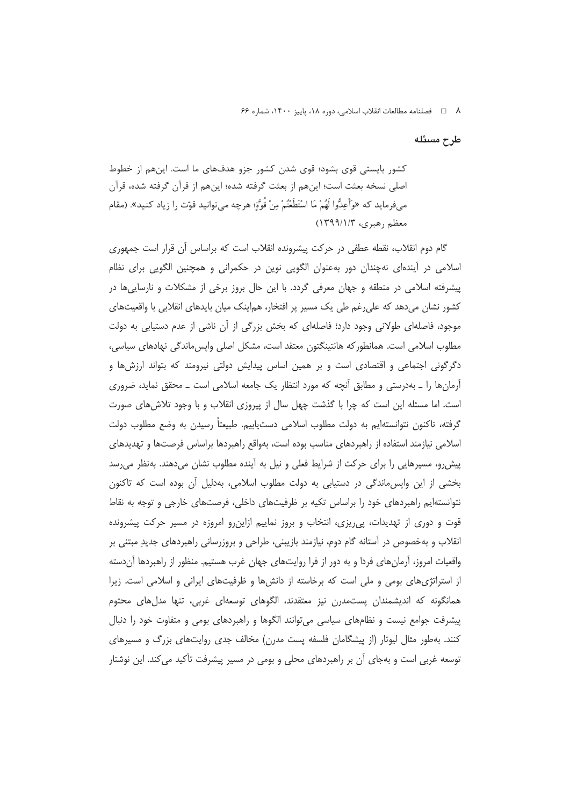٨ □ فصلنامه مطالعات انقلاب اسلامي، دوره ١٨، پاييز ١۴٠٠، شماره ۶۶

طرح مسئله

کشور بایستی قوی بشود؛ قوی شدن کشور جزو هدفهای ما است. اینهم از خطوط اصلی نسخه بعثت است؛ اینهم از بعثت گرفته شده؛ اینهم از قرآن گرفته شده، قرآن م فرمايد كه «وأَعِدُّوا لَهُمْ مَا اسْتَطَعْتُمْ مِنْ قَوَّةٍ؛ هرچه مي توانيد قوّت را زياد كنيد». (مقام معظم رهبري، ۱۳۹۹/۱/۳)

گام دوم انقلاب، نقطه عطفی در حرکت پیشرونده انقلاب است که براساس آن قرار است جمهوری اسلامی در اَیندهای نهچندان دور بهعنوان الگویی نوین در حکمرانی و همچنین الگویی برای نظام پیشرفته اسلامی در منطقه و جهان معرفی گردد. با این حال بروز برخی از مشکلات و نارساییها در کشور نشان میدهد که علی رغم طی یک مسیر پر افتخار، هم|ینک میان بایدهای انقلابی با واقعیتهای موجود، فاصلهای طولانی وجود دارد؛ فاصلهای که بخش بزرگی از آن ناشی از عدم دستیابی به دولت مطلوب اسلامی است. همانطور که هانتینگتون معتقد است، مشکل اصلی واپسءاندگی نهادهای سیاسی، دگرگونی اجتماعی و اقتصادی است و بر همین اساس پیدایش دولتی نیرومند که بتواند ارزش ها و آرمانها را ـ بهدرستی و مطابق آنچه که مورد انتظار یک جامعه اسلامی است ـ محقق نماید، ضروری است. اما مسئله این است که چرا با گذشت چهل سال از پیروزی انقلاب و با وجود تلاش های صورت گرفته، تاكنون نتوانستهايم به دولت مطلوب اسلامي دستيابيم. طبيعتاً رسيدن به وضع مطلوب دولت اسلامی نیازمند استفاده از راهبردهای مناسب بوده است، بهواقع راهبردها براساس فرصتها و تهدیدهای پیش رو، مسیرهایی را برای حرکت از شرایط فعلی و نیل به آینده مطلوب نشان میدهند. بهنظر می رسد بخشی از این واپس ماندگی در دستیابی به دولت مطلوب اسلامی، بهدلیل آن بوده است که تاکنون نتوانستهایم راهبردهای خود را براساس تکیه بر ظرفیتهای داخلی، فرصتهای خارجی و توجه به نقاط قوت و دوری از تهدیدات، پی ریزی، انتخاب و بروز نماییم ازاین رو امروزه در مسیر حرکت پیشرونده انقلاب و بهخصوص در آستانه گام دوم، نیازمند بازیبنی، طراحی و بروزرسانی راهبردهای جدیدِ مبتنی بر واقعیات امروز، آرمانِهای فردا و به دور از فرا روایتهای جهان غرب هستیم. منظور از راهبردها آنِ دسته از استراتژیهای بومی و ملی است که برخاسته از دانشها و ظرفیتهای ایرانی و اسلامی است. زیرا همانگونه که اندیشمندان پستمدرن نیز معتقدند، الگوهای توسعهای غربی، تنها مدلهای محتوم پیشرفت جوامع نیست و نظامهای سیاسی میتوانند الگوها و راهبردهای بومی و متفاوت خود را دنبال کنند. بهطور مثال لیوتار (از پیشگامان فلسفه پست مدرن) مخالف جدی روایتهای بزرگ و مسیرهای توسعه غربی است و بهجای آن بر راهبردهای محلی و بومی در مسیر پیشرفت تأکید می کند. این نوشتار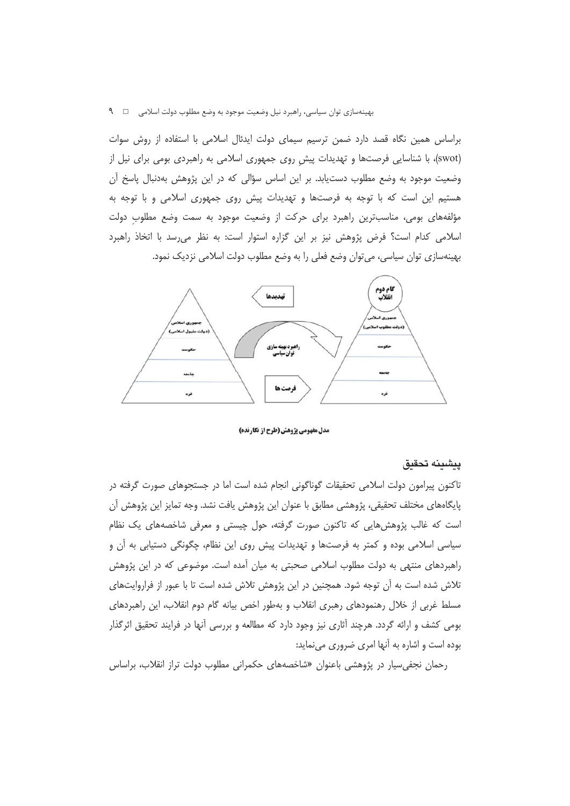براساس همین نگاه قصد دارد ضمن ترسیم سیمای دولت ایدئال اسلامی با استفاده از روش سوات (swot)، با شناسایی فرصتها و تهدیدات پیش روی جمهوری اسلامی به راهبردی بومی برای نیل از وضعیت موجود به وضع مطلوب دستیابد. بر این اساس سؤالی که در این پژوهش بهدنبال پاسخ آن هستیم این است که با توجه به فرصتها و تهدیدات پیش روی جمهوری اسلامی و با توجه به مؤلفههای بومی، مناسبترین راهبرد برای حرکت از وضعیت موجود به سمت وضع مطلوب دولت اسلامی کدام است؟ فرض پژوهش نیز بر این گزاره استوار است: به نظر می رسد با اتخاذ راهبرد بهینهسازی توان سیاسی، میتوان وضع فعلی را به وضع مطلوب دولت اسلامی نزدیک نمود.



مدل مفهومی یژوهش (طرح از نگارنده)

#### يىشىنە تحقىق

تاکنون پیرامون دولت اسلامی تحقیقات گوناگونی انجام شده است اما در جستجوهای صورت گرفته در پایگاههای مختلف تحقیقی، پژوهشی مطابق با عنوان این پژوهش یافت نشد. وجه تمایز این پژوهش آن است که غالب پژوهش،هایی که تاکنون صورت گرفته، حول چیستی و معرفی شاخصههای یک نظام سیاسی اسلامی بوده و کمتر به فرصتها و تهدیدات پیش روی این نظام، چگونگی دستیابی به آن و راهبردهای منتهی به دولت مطلوب اسلامی صحبتی به میان آمده است. موضوعی که در این پژوهش تلاش شده است به آن توجه شود. همچنین در این پژوهش تلاش شده است تا با عبور از فراروایتهای مسلط غربی از خلال رهنمودهای رهبری انقلاب و بهطور اخص بیانه گام دوم انقلاب، این راهبردهای بومی کشف و ارائه گردد. هرچند آثاری نیز وجود دارد که مطالعه و بررسی آنها در فرایند تحقیق اثرگذار بوده است و اشاره به آنها امری ضروری مینماید:

رحمان نجفی سیار در پژوهشی باعنوان «شاخصههای حکمرانی مطلوب دولت تراز انقلاب، براساس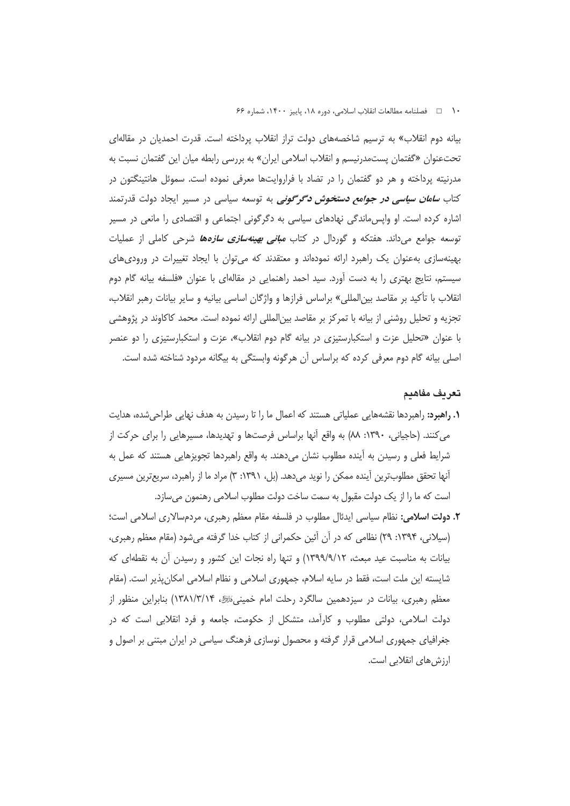۱۰ ه استامه مطالعات انقلاب اسلامي، دوره ۱۸، پاييز ۱۴۰۰، شماره ۶۶

بیانه دوم انقلاب» به ترسیم شاخصههای دولت تراز انقلاب پرداخته است. قدرت احمدیان در مقالهای تحت عنوان «گفتمان پستمدرنیسم و انقلاب اسلامی ایران» به بررسی رابطه میان این گفتمان نسبت به مدرنیته پرداخته و هر دو گفتمان را در تضاد با فراروایتها معرفی نموده است. سموئل هانتینگتون در کتاب *سامان سیاسی در جوامع دستخوش دگرگونی* به توسعه سیاسی در مسیر ایجاد دولت قدرتمند اشاره کرده است. او واپسءاندگی نهادهای سیاسی به دگرگونی اجتماعی و اقتصادی را مانعی در مسیر توسعه جوامع میداند. هفتکه و گوردال در کتاب *مبانی بهینهسازی سازهها ش*رحی کاملی از عملیات بهینهسازی بهعنوان یک راهبرد ارائه نمودهاند و معتقدند که می توان با ایجاد تغییرات در ورودی های سیستم، نتایج بهتری را به دست آورد. سید احمد راهنمایی در مقالهای با عنوان «فلسفه بیانه گام دوم انقلاب با تأكيد بر مقاصد بين|لمللي» براساس فرازها و واژگان اساسي بيانيه و ساير بيانات رهبر انقلاب، تجزیه و تحلیل روشنی از بیانه با تمرکز بر مقاصد بین|لمللی ارائه نموده است. محمد کاکاوند در پژوهشی با عنوان «تحلیل عزت و استکبارستیزی در بیانه گام دوم انقلاب»، عزت و استکبارستیزی را دو عنصر اصلی بیانه گام دوم معرفی کرده که براساس آن هرگونه وابستگی به بیگانه مردود شناخته شده است.

#### تعريف مفاهيم

- **۱. راهبرد:** راهبردها نقشههایی عملیاتی هستند که اعمال ما را تا رسیدن به هدف نهایی طراحیشده، هدایت می کنند. (حاجیانی، ۱۳۹۰: ۸۸) به واقع آنها براساس فرصتها و تهدیدها، مسیرهایی را برای حرکت از شرایط فعلی و رسیدن به آینده مطلوب نشان میدهند. به واقع راهبردها تجویزهایی هستند که عمل به آنها تحقق مطلوبترین آینده ممکن را نوید میدهد. (بل، ۱۳۹۱: ۳) مراد ما از راهبرد، سریعترین مسیری است که ما را از یک دولت مقبول به سمت ساخت دولت مطلوب اسلامی رهنمون میسازد.
- **٢. دولت اسلامي:** نظام سياسي ايدئال مطلوب در فلسفه مقام معظم رهبري، مردمسالاري اسلامي است؛ (سیلانی، ۱۳۹۴: ۲۹) نظامی که در آن آئین حکمرانی از کتاب خدا گرفته میشود (مقام معظم رهبری، بیانات به مناسبت عید مبعث، ۱۳۹۹/۹/۱۲) و تنها راه نجات این کشور و رسیدن آن به نقطهای که شایسته این ملت است، فقط در سایه اسلام، جمهوری اسلامی و نظام اسلامی امکانِپذیر است. (مقام معظم رهبری، بیانات در سیزدهمین سالگرد رحلت امام خمینیﷺ، ۱۳۸۱/۳/۱۴) بنابراین منظور از دولت اسلامی، دولتی مطلوب و کارآمد، متشکل از حکومت، جامعه و فرد انقلابی است که در جغرافیای جمهوری اسلامی قرار گرفته و محصول نوسازی فرهنگ سیاسی در ایران مبتنی بر اصول و ارزش های انقلابی است.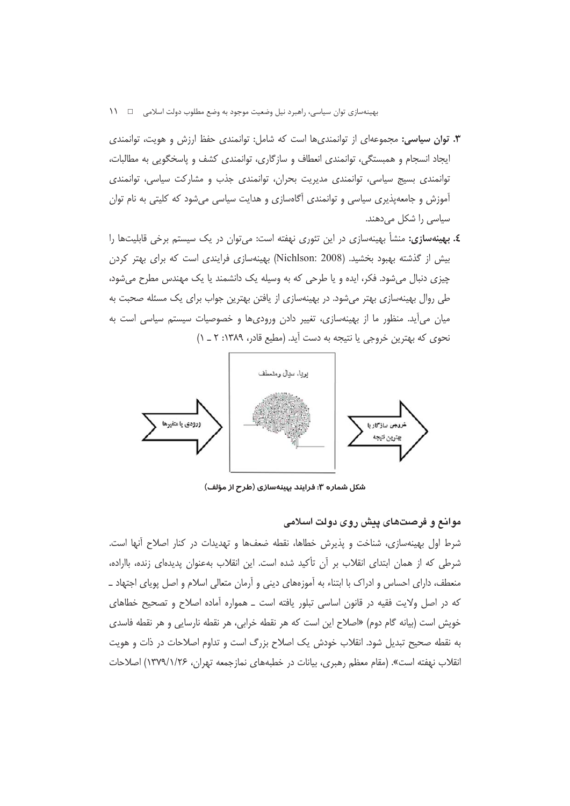- **۳. توان سیاسی:** مجموعهای از توانمندیها است که شامل: توانمندی حفظ ارزش و هویت، توانمندی ایجاد انسجام و همبستگی، توانمندی انعطاف و سازگاری، توانمندی کشف و پاسخگویی به مطالبات، توانمندی بسیج سیاسی، توانمندی مدیریت بحران، توانمندی جذب و مشارکت سیاسی، توانمندی آموزش و جامعهپذیری سیاسی و توانمندی آگاهسازی و هدایت سیاسی میشود که کلیتی به نام توان سیاسی را شکل میدهند.
- **٤. بهینهسازی:** منشأ بهینهسازی در این تئوری نهفته است: میتوان در یک سیستم برخی قابلیتها را بیش از گذشته بهبود بخشید. (Nichlson: 2008) بهینهسازی فرایندی است که برای بهتر کردن چيزي دنبال مي شود. فكر، ايده و يا طرحي كه به وسيله يک دانشمند يا يک مهندس مطرح مي شود، طی روال بهینهسازی بهتر میشود. در بهینهسازی از یافتن بهترین جواب برای یک مسئله صحبت به میان میأید. منظور ما از بهینهسازی، تغییر دادن ورودیها و خصوصیات سیستم سیاسی است به نحوی که بهترین خروجی یا نتیجه به دست آید. (مطیع قادر، ۱۳۸۹: ۲ \_ ۱)



شکل شماره ۳: فرایند بپینهسازی (طرح از مؤلف)

## موانع و فرصتهای پیش روی دولت اسلامی

شرط اول بهینهسازی، شناخت و پذیرش خطاها، نقطه ضعفها و تهدیدات در کنار اصلاح آنها است. شرطی که از همان ابتدای انقلاب بر آن تأکید شده است. این انقلاب بهعنوان پدیدهای زنده، بااراده، منعطف، دارای احساس و ادراک با ابتناء به آموزههای دینی و آرمان متعالی اسلام و اصل پویای اجتهاد ــ که در اصل ولایت فقیه در قانون اساسی تبلور یافته است ـ همواره آماده اصلاح و تصحیح خطاهای خويش است (بيانه گام دوم) «اصلاح اين است كه هر نقطه خرابي، هر نقطه نارسايي و هر نقطه فاسدي به نقطه صحیح تبدیل شود. انقلاب خودش یک اصلاح بزرگ است و تداوم اصلاحات در ذات و هویت انقلاب نهفته است». (مقام معظم رهبري، بیانات در خطبههاي نمازجمعه تهران، ۱۳۷۹/۱/۲۶) اصلاحات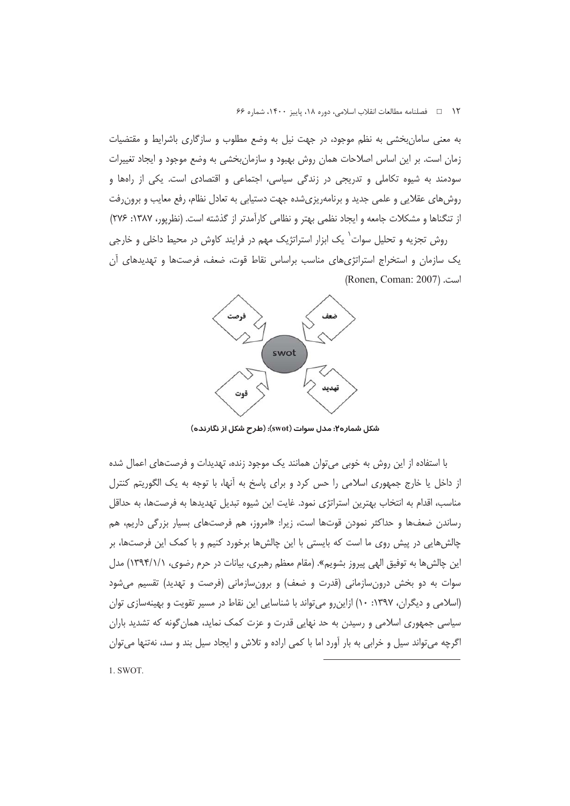۱۲ □ فصلنامه مطالعات انقلاب اسلامي، دوره ۱۸، پاييز ۱۴۰۰، شماره ۶۶

به معنی سامان بخشی به نظم موجود، در جهت نیل به وضع مطلوب و سازگاری باشرایط و مقتضیات زمان است. بر این اساس اصلاحات همان روش بهبود و سازمانبخشی به وضع موجود و ایجاد تغییرات سودمند به شیوه تکاملی و تدریجی در زندگی سیاسی، اجتماعی و اقتصادی است. یکی از راهها و روشهای عقلایی و علمی جدید و برنامهریزیشده جهت دستیابی به تعادل نظام، رفع معایب و برون رفت از تنگناها و مشکلات جامعه و ایجاد نظمی بهتر و نظامی کارآمدتر از گذشته است. (نظرپور، ۱۳۸۷: ۲۷۶)

روش تجزیه و تحلیل سوات<sup>٬</sup> یک ابزار استراتژیک مهم در فرایند کاوش در محیط داخلی و خارجی یک سازمان و استخراج استراتژیهای مناسب براساس نقاط قوت، ضعف، فرصتها و تهدیدهای آن (Ronen, Coman: 2007)



شکل شماره۲: مدل سوات (swot): (طرح شکل از نگارنده)

با استفاده از این روش به خوبی می توان همانند یک موجود زنده، تهدیدات و فرصتهای اعمال شده از داخل یا خارج جمهوری اسلامی را حس کرد و برای پاسخ به أنها، با توجه به یک الگوریتم کنترل مناسب، اقدام به انتخاب بهترين استراتژي نمود. غايت اين شيوه تبديل تهديدها به فرصتها، به حداقل رساندن ضعفها و حداکثر نمودن قوتها اس*ت*، زیرا: «امروز، هم فرصتهای بسیار بزرگی داریم، هم چالشهایی در پیش روی ما است که بایستی با این چالشها برخورد کنیم و با کمک این فرصتها، بر این چالش ها به توفیق الهی پیروز بشویم». (مقام معظم رهبری، بیانات در حرم رضوی، ۱۳۹۴/۱/۱) مدل سوات به دو بخش درونِسازمانی (قدرت و ضعف) و برونِسازمانی (فرصت و تهدید) تقسیم میشود (اسلامی و دیگران، ۱۳۹۷: ۱۰) ازاین رو می تواند با شناسایی این نقاط در مسیر تقویت و بهینهسازی توان سیاسی جمهوری اسلامی و رسیدن به حد نهایی قدرت و عزت کمک نماید، همان گونه که تشدید باران اگرچه می تواند سیل و خرابی به بار آورد اما با کمی اراده و تلاش و ایجاد سیل بند و سد، نهتنها می توان

1. SWOT.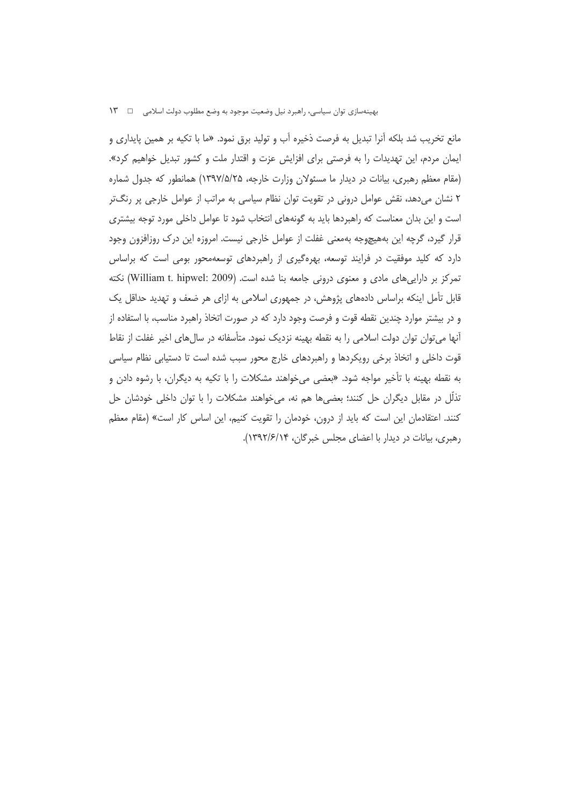مانع تخریب شد بلکه آنرا تبدیل به فرصت ذخیره آب و تولید برق نمود. «ما با تکیه بر همین پایداری و ایمان مردم، این تهدیدات را به فرصتی برای افزایش عزت و اقتدار ملت و کشور تبدیل خواهیم کرد». (مقام معظم رهبری، بیانات در دیدار ما مسئولان وزارت خارجه، ۱۳۹۷/۵/۲۵) همانطور که جدول شماره ۲ نشان میدهد، نقش عوامل درونی در تقویت توان نظام سیاسی به مراتب از عوامل خارجی پر رنگتر است و این بدان معناست که راهبردها باید به گونههای انتخاب شود تا عوامل داخلی مورد توجه بیشتری قرار گیرد، گرچه این بههیچوجه بهمعنی غفلت از عوامل خارجی نیست. امروزه این درک روزافزون وجود دارد که کلید موفقیت در فرایند توسعه، بهرهگیری از راهبردهای توسعهمحور بومی است که براساس تمرکز بر داراییهای مادی و معنوی درونی جامعه بنا شده است. (William t. hipwel: 2009) نکته قابل تأمل اینکه براساس دادههای پژوهش، در جمهوری اسلامی به ازای هر ضعف و تهدید حداقل یک و در بیشتر موارد چندین نقطه قوت و فرصت وجود دارد که در صورت اتخاذ راهبرد مناسب، با استفاده از أنها می توان توان دولت اسلامی را به نقطه بهینه نزدیک نمود. متأسفانه در سالهای اخیر غفلت از نقاط قوت داخلی و اتخاذ برخی رویکردها و راهبردهای خارج محور سبب شده است تا دستیابی نظام سیاسی به نقطه بهینه با تأخیر مواجه شود. «بعضی میخواهند مشکلات را با تکیه به دیگران، با رشوه دادن و تذلُّل در مقابل دیگران حل کنند؛ بعضیها هم نه، میخواهند مشکلات را با توان داخلی خودشان حل کنند. اعتقادمان این است که باید از درون، خودمان را تقویت کنیم، این اساس کار است» (مقام معظم رهبری، بیانات در دیدار با اعضای مجلس خبرگان، ۱۳۹۲/۶/۱۴).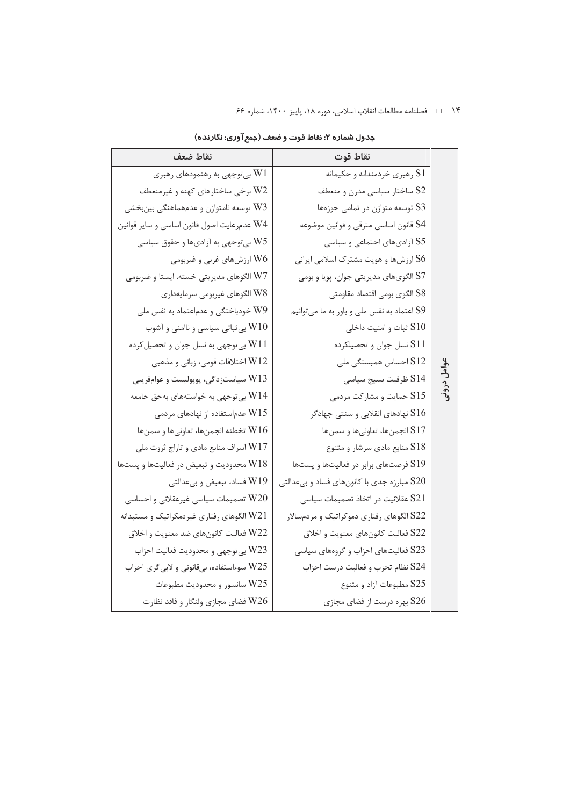| نقاط ضعف                                     | نقاط قوت                                       |                     |
|----------------------------------------------|------------------------------------------------|---------------------|
| بی توجهی به رهنمودهای رهبری W1               | S1 رهبري خردمندانه و حكيمانه                   |                     |
| W2 برخی ساختارهای کهنه و غیرمنعطف            | S2 ساختار سیاسی مدرن و منعطف                   |                     |
| W3 توسعه نامتوازن و عدمهماهنگي بينبخشي       | S3 توسعه متوازن در تمامي حوزەها                |                     |
| W4 عدمرعايت اصول قانون اساسي و ساير قوانين   | S4 قانون اساسي مترقي و قوانين موضوعه           |                     |
| W5 بیتوجهی به آزادیها و حقوق سیاسی           | S5 آزادیهای اجتماعی و سیاسی                    |                     |
| W6 ارزشهای غربی و غیربومی                    | S6 ارزشها و هویت مشترک اسلامی ایرانی           |                     |
| W7 الگوهای مدیریتی خسته، ایستا و غیربومی     | S7 الگویهای مدیریتی جوان، پویا و بومی          |                     |
| W8 الگوهای غیربومی سرمایهداری                | S8 الگوى بومى اقتصاد مقاومتى                   |                     |
| W9 خودباختگی و عدماعتماد به نفس ملی          | S9 اعتماد به نفس ملی و باور به ما میتوانیم     |                     |
| W10 بی ثباتی سیاسی و ناامنی و آشوب           | S10 ثبات و امنيت داخلي                         |                     |
| W11 بیتوجهی به نسل جوان و تحصیل کرده         | S11 نسل جوان و تحصيلكرده                       |                     |
| W12 اختلافات قومي، زباني و مذهبي             | احساس همبستگی ملی $\operatorname{S12}$         | عوامل<br>ح<br>درونى |
| 3 W سیاستزدگی، پوپولیست و عوامفریبی          | S14 ظرفيت بسيج سياسي                           |                     |
| بی توجهی به خواستههای بهحق جامعه $\rm W14$   | S15 حمایت و مشارکت مردمی                       |                     |
| 5 W عدماستفاده از نهادهای مردمی              | نهادهای انقلابی و سنتی جهادگر ${\rm S}16$      |                     |
| تخطئه انجمنها، تعاونيها و سمنها ${\rm W}16$  | S17 انجمنها، تعاونيها و سمنها                  |                     |
| W17 اسراف منابع مادي و تاراج ثروت ملي        | S18 منابع مادي سرشار و متنوع                   |                     |
| محدودیت و تبعیض در فعالیتها و پستها M $18\,$ | S19 فرصتهای برابر در فعالیتها و پستها          |                     |
| W19 فساد، تبعیض و بیعدالتی                   | مبارزه جدی با کانونهای فساد و بیعدالتی $\S 20$ |                     |
| تصمیمات سیاسی غیرعقلانی و احساسی $\rm W20$   | S21 عقلانيت در اتخاذ تصميمات سياسي             |                     |
| W21 الگوهای رفتاری غیردمکراتیک و مستبدانه    | S22 الگوهای رفتاری دموکراتیک و مردمسالار       |                     |
| فعالیت کانونهای ضد معنویت و اخلاق M22        | S22 فعالیت کانونهای معنویت و اخلاق             |                     |
| 323 بي توجهي و محدوديت فعاليت احزاب          | S23 فعالیتهای احزاب و گروههای سیاسی            |                     |
| W25 سوءاستفاده، بیقانونی و لابیگری احزاب     | S24 نظام تحزب و فعاليت درست احزاب              |                     |
| W25 سانسور و محدودیت مطبوعات                 | S25 مطبوعات آزاد و متنوع                       |                     |
| W26 فضاي مجازي ولنگار و فاقد نظارت           | S26 بهره درست از فضاي مجازي                    |                     |

جدول شماره ۲: نقاط قوت و ضعف (جمع آوری: نگارنده)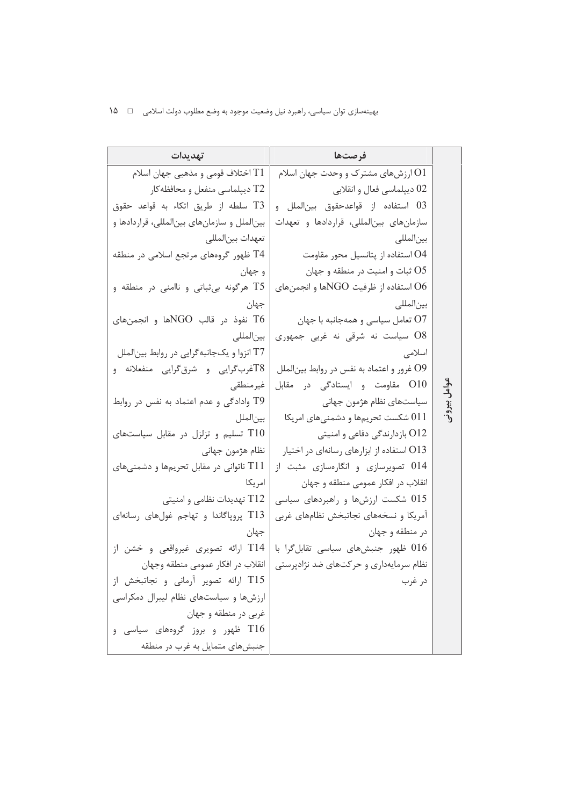|       | فرصتها                                        | تهديدات                                     |
|-------|-----------------------------------------------|---------------------------------------------|
|       | ارزشهای مشترک و وحدت جهان اسلام $\mathrm{O}1$ | اختلاف قومی و مذهبی جهان اسلام $\rm T1$     |
|       | 02 ديپلماسي فعال و انقلابي                    | T2 ديپلماسي منفعل و محافظه <i>ک</i> ار      |
|       | 03 استفاده از قواعدحقوق بين لملل و            | T3 سلطه از طريق اتكاء به قواعد حقوق         |
|       | سازمانهای بینالمللی، قراردادها و تعهدات       | بینالملل و سازمانهای بینالمللی، قراردادها و |
|       | بين لمللى                                     | تعهدات بين لمللي                            |
|       | O4 استفاده از پتانسیل محور مقاومت             | T4 ظهور گروههای مرتجع اسلامی در منطقه       |
|       | O5 ثبات و امنيت در منطقه و جهان               | و جهان                                      |
|       | استفاده از ظرفیت NGOها و انجمنهای O6          | T5 هرگونه بی ثباتی و ناامنی در منطقه و      |
|       | بين لمللى                                     | جهان                                        |
|       | O7 تعامل سياسي و همهجانبه با جهان             | نفوذ در قالب NGOها و انجمنهای T6            |
|       | O8 سیاست نه شرقی نه غربی جمهوری               | بين لمللى                                   |
|       | اسلامى                                        | T7 انزوا و یکجانبهگرایی در روابط بین الملل  |
|       | O9 غرور و اعتماد به نفس در روابط بينالملل     | T8غربگرایی و شرقگرایی منفعلانه و            |
| عوامل | O10 مقاومت و ایستادگی در مقابل                | غيرمنطقي                                    |
|       | سیاستهای نظام هژمون جهانی                     | T9 وادادگی و عدم اعتماد به نفس در روابط     |
|       | شکست تحریمها و دشمنیهای امریکا $011\,$        | بين لملل                                    |
|       | O12 بازدارندگی دفاعی و امنیتی                 | تسلیم و تزلزل در مقابل سیاستهای T $10\,$    |
|       | O13 استفاده از ابزارهای رسانهای در اختیار     | نظام هژمون جهاني                            |
|       | 014 تصویرسازی و انگارهسازی مثبت از            | T11 ناتوانی در مقابل تحریمها و دشمنیهای     |
|       | انقلاب در افكار عمومى منطقه و جهان            | امر یکا                                     |
|       | شکست ارزشها و راهبردهای سیاسی $015\,$         | T12 تهدیدات نظامی و امنیتی                  |
|       | آمریکا و نسخههای نجاتبخش نظامهای غربی         | T13 پروپاگاندا و تهاجم غولهای رسانهای       |
|       | در منطقه و جهان                               | جهان                                        |
|       | فلھور جنبشھای سیاسی تقابل گرا با $016$        | T14 ارائه تصویری غیرواقعی و خشن از          |
|       | نظام سرمایهداری و حرکتهای ضد نژادپرستی        | انقلاب در افكار عمومي منطقه وجهان           |
|       | در غرب                                        | T15 ارائه تصویر آرمانی و نجاتبخش از         |
|       |                                               | ارزشها و سیاستهای نظام لیبرال دمکراسی       |
|       |                                               | غربي در منطقه و جهان                        |
|       |                                               | T16 ظهور و بروز گروههای سیاسی و             |
|       |                                               | جنبشهای متمایل به غرب در منطقه              |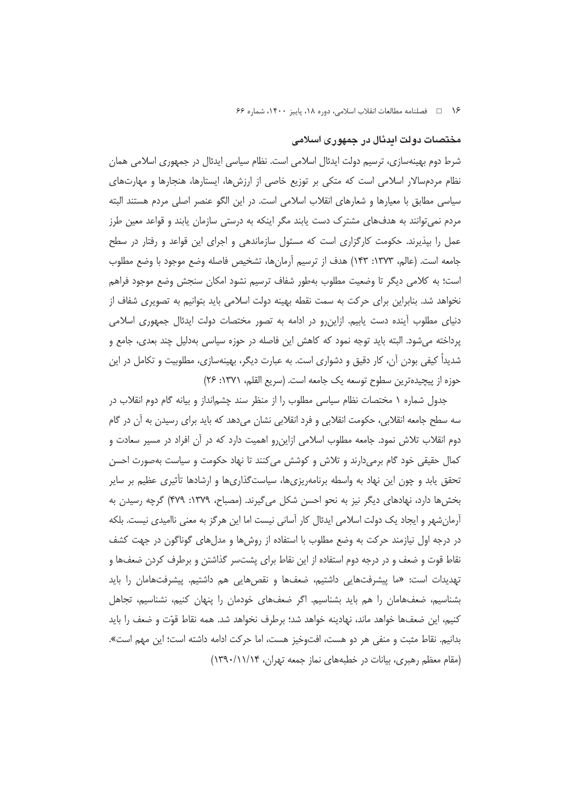## مختصات دولت ایدئال در جمهوری اسلامی

شرط دوم بهینهسازی، ترسیم دولت ایدئال اسلامی است. نظام سیاسی ایدئال در جمهوری اسلامی همان نظام مردمسالار اسلامی است که متکی بر توزیع خاصی از ارزشها، ایستارها، هنجارها و مهارتهای سیاسی مطابق با معیارها و شعارهای انقلاب اسلامی است. در این الگو عنصر اصلی مردم هستند البته مردم نمیٍتوانند به هدفهای مشترک دست یابند مگر اینکه به درستی سازمان یابند و قواعد معین طرز عمل را بپذیرند. حکومت کارگزاری است که مسئول سازماندهی و اجرای این قواعد و رفتار در سطح جامعه است. (عالم، ١٣٧٣: ١۴٣) هدف از ترسيم أرمانها، تشخيص فاصله وضع موجود با وضع مطلوب است؛ به کلامی دیگر تا وضعیت مطلوب بهطور شفاف ترسیم نشود امکان سنجش وضع موجود فراهم نخواهد شد. بنابراین برای حرکت به سمت نقطه بهینه دولت اسلامی باید بتوانیم به تصویری شفاف از دنیای مطلوب آینده دست پاییم. ازاین,رو در ادامه به تصور مختصات دولت ایدئال جمهوری اسلامی پرداخته می شود. البته باید توجه نمود که کاهش این فاصله در حوزه سیاسی بهدلیل چند بعدی، جامع و شدیداً کیفی بودن آن، کار دقیق و دشواری است. به عبارت دیگر، بهینهسازی، مطلوبیت و تکامل در این حوزه از پیچیدهترین سطوح توسعه یک جامعه است. (سریع القلم، ۱۳۷۱: ۲۶)

جدول شماره ۱ مختصات نظام سیاسی مطلوب را از منظر سند چشم|نداز و بیانه گام دوم انقلاب در سه سطح جامعه انقلابی، حکومت انقلابی و فرد انقلابی نشان میدهد که باید برای رسیدن به آن در گام دوم انقلاب تلاش نمود. جامعه مطلوب اسلامی ازاین٫و اهمیت دارد که در آن افراد در مسیر سعادت و کمال حقیقی خود گام برمیدارند و تلاش و کوشش میکنند تا نهاد حکومت و سیاست بهصورت احسن تحقق یابد و چون این نهاد به واسطه برنامهریزیها، سیاستگذاریها و ارشادها تأثیری عظیم بر سایر بخشها دارد، نهادهای دیگر نیز به نحو احسن شکل می گیرند. (مصباح، ۱۳۷۹: ۴۷۹) گرچه رسیدن به أرمانِشهر و ایجاد یک دولت اسلامی ایدئال کار أسانی نیست اما این هرگز به معنی ناامیدی نیست. بلکه در درجه اول نیازمند حرکت به وضع مطلوب با استفاده از روشها و مدلهای گوناگون در جهت کشف نقاط قوت و ضعف و در درجه دوم استفاده از این نقاط برای پشتسر گذاشتن و برطرف کردن ضعفها و تهدیدات است: «ما پیشرفتهایی داشتیم، ضعفها و نقصهایی هم داشتیم. پیشرفتهامان را باید بشناسیم، ضعفهامان را هم باید بشناسیم. اگر ضعفهای خودمان را پنهان کنیم، نشناسیم، تجاهل کنیم، این ضعفها خواهد ماند، نهادینه خواهد شد؛ برطرف نخواهد شد. همه نقاط قوّت و ضعف را باید بدانيم. نقاط مثبت و منفي هر دو هست، افتوخيز هست، اما حركت ادامه داشته است؛ اين مهم است». (مقام معظم رهبری، بیانات در خطبههای نماز جمعه تهران، ۱۳۹۰/۱۱/۱۴)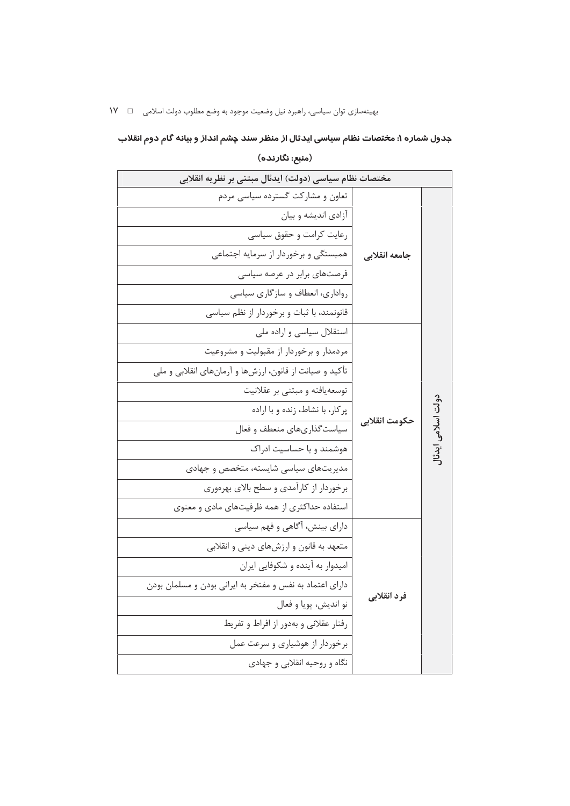# جدول شماره ۱: مختصات نظام سیاسی ایدئال از منظر سند چشم انداز و بیانه گام دوم انقلاب

(منبع: نگارنده)

| مختصات نظام سیاسی (دولت) ایدئال مبتنی بر نظریه انقلابی   |                    |  |
|----------------------------------------------------------|--------------------|--|
| تعاون و مشارکت گسترده سیاسی مردم                         |                    |  |
| آزادی اندیشه و بیان                                      |                    |  |
| رعایت کرامت و حقوق سیاسی                                 |                    |  |
| همبستگی و برخوردار از سرمایه اجتماعی<br>جامعه انقلابى    |                    |  |
| فرصتهای برابر در عرصه سیاسی                              |                    |  |
| رواداری، انعطاف و سازگاری سیاسی                          |                    |  |
| قانونمند، با ثبات و برخوردار از نظم سیاسی                |                    |  |
| استقلال سیاسی و اراده ملی                                |                    |  |
| مردمدار و برخوردار از مقبولیت و مشروعیت                  |                    |  |
| تأکید و صیانت از قانون، ارزشها و آرمانهای انقلابی و ملی  |                    |  |
| توسعه یافته و مبتنی بر عقلانیت                           |                    |  |
| پرکار، با نشاط، زنده و با اراده                          |                    |  |
| حكومت انقلابي<br>سیاستگذاریهای منعطف و فعال              | .ولت اسلامی ایدنا[ |  |
| هوشمند و با حساسیت ادراک                                 |                    |  |
| مدیریتهای سیاسی شایسته، متخصص و جهادی                    |                    |  |
| برخوردار از کارآمدی و سطح بالای بهرەوری                  |                    |  |
| استفاده حداکثری از همه ظرفیتهای مادی و معنوی             |                    |  |
| دارای بینش، آگاهی و فهم سیاسی                            |                    |  |
| متعهد به قانون و ارزشهای دینی و انقلابی                  |                    |  |
| امیدوار به آینده و شکوفایی ایران                         |                    |  |
| دارای اعتماد به نفس و مفتخر به ایرانی بودن و مسلمان بودن |                    |  |
| فرد انقلابي<br>نو انديش، پويا و فعال                     |                    |  |
| رفتار عقلانی و بهدور از افراط و تفریط                    |                    |  |
| برخوردار از هوشیاری و سرعت عمل                           |                    |  |
| نگاه و روحیه انقلابی و جهادی                             |                    |  |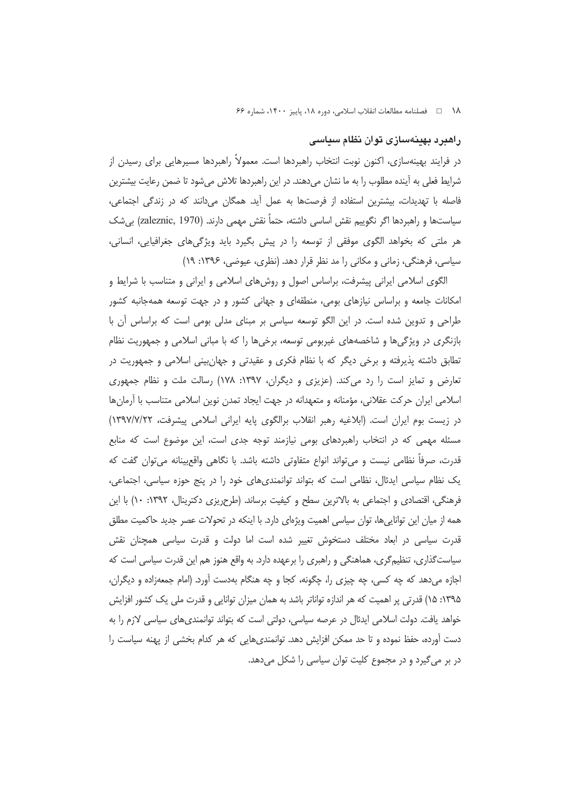# راهبرد بهینهسازی توان نظام سیاسی

در فرایند بهینهسازی، اکنون نوبت انتخاب راهبردها است. معمولاً راهبردها مسیرهایی برای رسیدن از شرایط فعلی به اینده مطلوب را به ما نشان میدهند. در این راهبردها تلاش میشود تا ضمن رعایت بیشترین فاصله با تهدیدات، بیشترین استفاده از فرصتها به عمل آید. همگان میدانند که در زندگی اجتماعی، سیاستها و راهبردها اگر نگوییم نقش اساسی داشته، حتماً نقش مهمی دارند. (zaleznic, 1970) بیشک هر ملتی که بخواهد الگوی موفقی از توسعه را در پیش بگیرد باید ویژگیهای جغرافیایی، انسانی، سیاسی، فرهنگی، زمانی و مکانی را مد نظر قرار دهد. (نظری، عیوضی، ۱۳۹۶: ۱۹)

الگوی اسلامی ایرانی پیشرفت، براساس اصول و روشهای اسلامی و ایرانی و متناسب با شرایط و امکانات جامعه و براساس نیازهای بومی، منطقهای و جهانی کشور و در جهت توسعه همهجانبه کشور طراحی و تدوین شده است. در این الگو توسعه سیاسی بر مبنای مدلی بومی است که براساس آن با بازنگری در ویژگیها و شاخصههای غیربومی توسعه، برخیها را که با مبانی اسلامی و جمهوریت نظام تطابق داشته پذیرفته و برخی دیگر که با نظام فکری و عقیدتی و جهان بینی اسلامی و جمهوریت در تعارض و تمایز است را رد می کند. (عزیزی و دیگران، ۱۳۹۷: ۱۷۸) رسالت ملت و نظام جمهوری اسلامی ایران حرکت عقلانی، مؤمنانه و متعهدانه در جهت ایجاد تمدن نوین اسلامی متناسب با ارمانها در زیست بوم ایران است. (ابلاغیه رهبر انقلاب برالگوی پایه ایرانی اسلامی پیشرفت، ۱۳۹۷/۷/۲۲) مسئله مهمی که در انتخاب راهبردهای بومی نیازمند توجه جدی است، این موضوع است که منابع قدرت، صرفاً نظامی نیست و می¤واند انواع متفاوتی داشته باشد. با نگاهی واقعیینانه می¤وان گفت که یک نظام سیاسی ایدئال، نظامی است که بتواند توانمندیهای خود را در پنج حوزه سیاسی، اجتماعی، فرهنگی، اقتصادی و اجتماعی به بالاترین سطح و کیفیت برساند. (طرحریزی دکترینال، ۱۳۹۲: ۱۰) با این همه از میان این تواناییها، توان سیاسی اهمیت ویژهای دارد. با اینکه در تحولات عصر جدید حاکمیت مطلق قدرت سیاسی در ابعاد مختلف دستخوش تغییر شده است اما دولت و قدرت سیاسی همچنان نقش سیاستگذاری، تنظیمگری، هماهنگی و راهبری را برعهده دارد. به واقع هنوز هم این قدرت سیاسی است که اجازه میدهد که چه کسی، چه چیزی را، چگونه، کجا و چه هنگام بهدست آورد. (امام جمعهزاده و دیگران، ۱۳۹۵: ۱۵) قدرتی پر اهمیت که هر اندازه تواناتر باشد به همان میزان توانایی و قدرت ملی یک کشور افزایش خواهد یافت. دولت اسلامی ایدئال در عرصه سیاسی، دولتی است که بتواند توانمندیهای سیاسی لازم را به دست آورده، حفظ نموده و تا حد ممکن افزایش دهد. توانمندی.هایی که هر کدام بخشی از پهنه سیاست را در بر می گیرد و در مجموع کلیت توان سیاسی را شکل میدهد.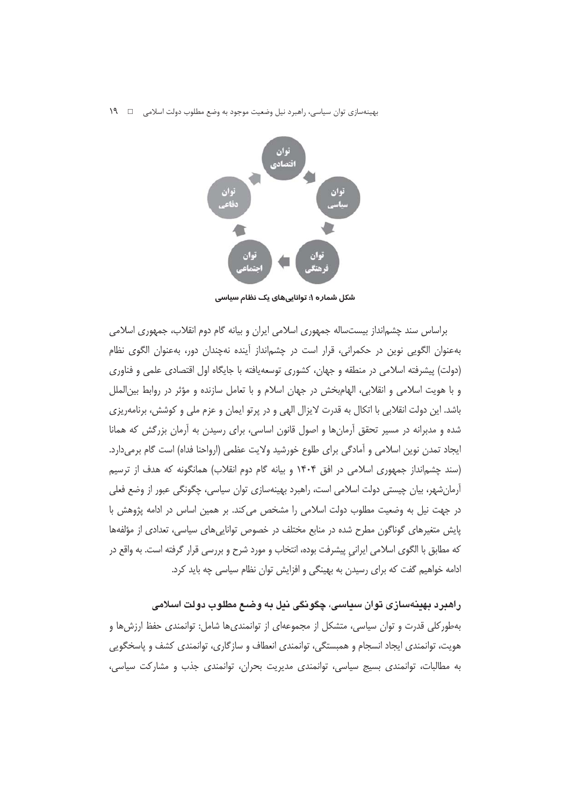بهینهسازی توان سیاسی، راهبرد نیل وضعیت موجود به وضع مطلوب دولت اسلامی  $\Box$  ۱۹



شکل شماره ۱: تواناییهای یک نظام سیاسی

براساس سند چشم|نداز بیستساله جمهوری اسلامی ایران و بیانه گام دوم انقلاب، جمهوری اسلامی بهعنوان الگویی نوین در حکمرانی، قرار است در چشمانداز آینده نهچندان دور، بهعنوان الگوی نظام (دولت) پیشرفته اسلامی در منطقه و جهان، کشوری توسعهیافته با جایگاه اول اقتصادی علمی و فناوری و با هويت اسلامي و انقلابي، الهامبخش در جهان اسلام و با تعامل سازنده و مؤثر در روابط بين|لملل باشد. این دولت انقلابی با اتکال به قدرت لایزال الهی و در پرتو ایمان و عزم ملی و کوشش، برنامهریزی شده و مدبرانه در مسیر تحقق آرمانها و اصول قانون اساسی، برای رسیدن به آرمان بزرگش که همانا ایجاد تمدن نوین اسلامی و آمادگی برای طلوع خورشید ولایت عظمی (ارواحنا فداه) است گام برمیدارد. (سند چشم|نداز جمهوری اسلامی در افق ۱۴۰۴ و بیانه گام دوم انقلاب) همانگونه که هدف از ترسیم آرمانِ شهر، بیان چیستی دولت اسلامی است، راهبرد بهینهسازی توان سیاسی، چگونگی عبور از وضع فعلی در جهت نیل به وضعیت مطلوب دولت اسلامی را مشخص می کند. بر همین اساس در ادامه پژوهش با پایش متغیرهای گوناگون مطرح شده در منابع مختلف در خصوص تواناییهای سیاسی، تعدادی از مؤلفهها که مطابق با الگوی اسلامی ایرانی پیشرفت بوده، انتخاب و مورد شرح و بررسی قرار گرفته است. به واقع در ادامه خواهیم گفت که برای رسیدن به بهینگی و افزایش توان نظام سیاسی چه باید کرد.

راهبرد بهينهسازی توان سياسی، چگونگی نيل به وضـع مطلوب دولت اسلامی بهطورکلی قدرت و توان سیاسی، متشکل از مجموعهای از توانمندیها شامل: توانمندی حفظ ارزشها و هویت، توانمندی ایجاد انسجام و همبستگی، توانمندی انعطاف و سازگاری، توانمندی کشف و پاسخگویی به مطالبات، توانمندی بسیج سیاسی، توانمندی مدیریت بحران، توانمندی جذب و مشارکت سیاسی،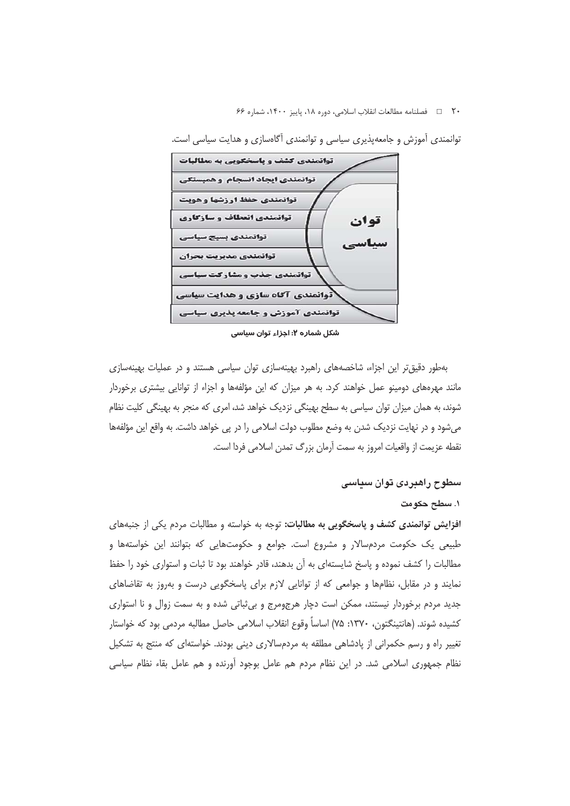٢٠ □ فصلنامه مطالعات انقلاب اسلامي، دوره ١٨، پاييز ١۴٠٠، شماره ۶۶



توانمندی آموزش و جامعهپذیری سیاسی و توانمندی آگاهسازی و هدایت سیاسی است.

شکل شماره ۲: احزاء توان سیاسی

بهطور دقیقتر این اجزاء، شاخصههای راهبرد بهینهسازی توان سیاسی هستند و در عملیات بهینهسازی مانند مهرههای دومینو عمل خواهند کرد. به هر میزان که این مؤلفهها و اجزاء از توانایی بیشتری برخوردار شوند، به همان میزان توان سیاسی به سطح بهینگی نزدیک خواهد شد، امری که منجر به بهینگی کلیت نظام میشود و در نهایت نزدیک شدن به وضع مطلوب دولت اسلامی را در پی خواهد داشت. به واقع این مؤلفهها نقطه عزيمت از واقعيات امروز به سمت آرمان بزرگ تمدن اسلامي فردا است.

#### سطوح راهبردی توان سیاسی

#### ۱. سطح حکومت

افزایش توانمندی کشف و پاسخگویی به مطالبات: توجه به خواسته و مطالبات مردم یکی از جنبههای طبیعی یک حکومت مردمسالار و مشروع است. جوامع و حکومتهایی که بتوانند این خواستهها و مطالبات را کشف نموده و پاسخ شایستهای به آن بدهند، قادر خواهند بود تا ثبات و استواری خود را حفظ نمایند و در مقابل، نظامها و جوامعی که از توانایی لازم برای پاسخگویی درست و بهروز به تقاضاهای جدید مردم برخوردار نیستند، ممکن است دچار هرجومرج و بی ثباتی شده و به سمت زوال و نا استواری كشيده شوند. (هانتينگتون، ١٣٧٠: ٧۵) اساساً وقوع انقلاب اسلامي حاصل مطالبه مردمي بود كه خواستار تغییر راه و رسم حکمرانی از پادشاهی مطلقه به مردمسالاری دینی بودند. خواستهای که منتج به تشکیل نظام جمهوری اسلامی شد. در این نظام مردم هم عامل بوجود آورنده و هم عامل بقاء نظام سیاسی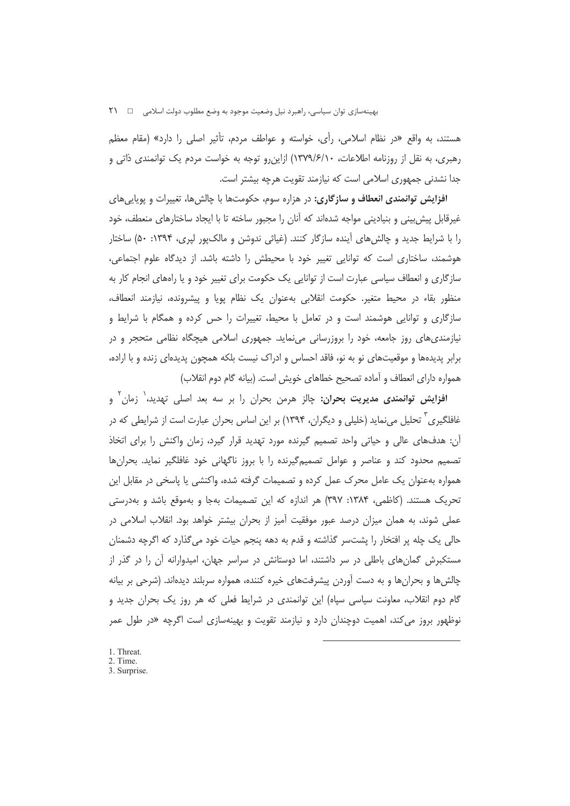هستند، به واقع «در نظام اسلامی، رأی، خواسته و عواطف مردم، تأثیر اصلی را دارد» (مقام معظم رهبری، به نقل از روزنامه اطلاعات، ۱۳۷۹/۶/۱۰) ازاین رو توجه به خواست مردم یک توانمندی ذاتی و جدا نشدنی جمهوری اسلامی است که نیازمند تقویت هرچه بیشتر است.

افزایش توانمندی انعطاف و سازگاری: در هزاره سوم، حکومتها با چالشها، تغییرات و پویاییهای غیرقابل پیش بینی و بنیادینی مواجه شدهاند که آنان را مجبور ساخته تا با ایجاد ساختارهای منعطف، خود را با شرایط جدید و چالش های آینده سازگار کنند. (غیاثی ندوشن و مالکپور لپری، ۱۳۹۴: ۵۰) ساختار هوشمند، ساختاری است که توانایی تغییر خود با محیطش را داشته باشد. از دیدگاه علوم اجتماعی، سازگاری و انعطاف سیاسی عبارت است از توانایی یک حکومت برای تغییر خود و یا راههای انجام کار به منظور بقاء در محیط متغیر. حکومت انقلابی بهعنوان یک نظام پویا و پیشرونده، نیازمند انعطاف، سازگاری و توانایی هوشمند است و در تعامل با محیط، تغییرات را حس کرده و همگام با شرایط و نیازمندیهای روز جامعه، خود را بروزرسانی میiماید. جمهوری اسلامی هیچگاه نظامی متحجر و در برابر پدیدهها و موقعیتهای نو به نو، فاقد احساس و ادراک نیست بلکه همچون پدیدهای زنده و با اراده، همواره دارای انعطاف و آماده تصحیح خطاهای خویش است. (بیانه گام دوم انقلاب)

**افزایش توانمندی مدیریت بحران:** چالز هرمن بحران را بر سه بعد اصلی تهدید، زمان و غافلگیری <sup>۲</sup> تحلیل می،نماید (خلیلی و دیگران، ۱۳۹۴) بر این اساس بحران عبارت است از شرایطی که در أن: هدفهای عالی و حیاتی واحد تصمیم گیرنده مورد تهدید قرار گیرد، زمان واکنش را برای اتخاذ تصمیم محدود کند و عناصر و عوامل تصمیمگیرنده را با بروز ناگهانی خود غافلگیر نماید. بحرانها همواره بهعنوان یک عامل محرک عمل کرده و تصمیمات گرفته شده، واکنشی یا پاسخی در مقابل این تحریک هستند. (کاظمی، ۱۳۸۴: ۳۹۷) هر اندازه که این تصمیمات بهجا و بهموقع باشد و بهدرستی عملی شوند، به همان میزان درصد عبور موفقیت آمیز از بحران بیشتر خواهد بود. انقلاب اسلامی در حالي يک چله پر افتخار را پشتسر گذاشته و قدم به دهه پنجم حيات خود مي گذارد که اگرچه دشمنان مستکبرش گمانهای باطلی در سر داشتند، اما دوستانش در سراسر جهان، امیدوارانه آن را در گذر از چالش ها و بحران ها و به دست آوردن پیشرفتهای خیره کننده، همواره سربلند دیدهاند. (شرحی بر بیانه گام دوم انقلاب، معاونت سیاسی سپاه) این توانمندی در شرایط فعلی که هر روز یک بحران جدید و نوظهور بروز می کند، اهمیت دوچندان دارد و نیازمند تقویت و بهینهسازی است اگرچه «در طول عمر

- 1. Threat.
- 2. Time. 3. Surprise.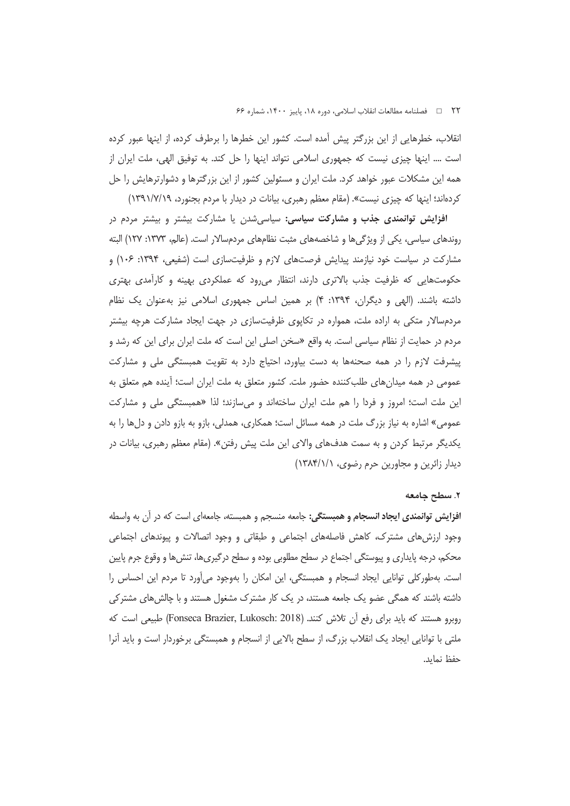انقلاب، خطرهایی از این بزرگتر پیش آمده است. کشور این خطرها را برطرف کرده، از اینها عبور کرده است …. اینها چیزی نیست که جمهوری اسلامی نتواند اینها را حل کند. به توفیق الهی، ملت ایران از همه این مشکلات عبور خواهد کرد. ملت ایران و مسئولین کشور از این بزرگترها و دشوارترهایش را حل کردهاند؛ اینها که چیزی نیست». (مقام معظم رهبری، بیانات در دیدار با مردم بجنورد، ۱۳۹۱/۷/۱۹)

افزایش توانمندی جذب و مشارکت سیاسی: سیاسیشدن یا مشارکت بیشتر و بیشتر مردم در روندهای سیاسی، یکی از ویژگیها و شاخصههای مثبت نظامهای مردمسالار است. (عالم، ۱۳۷۳: ۱۲۷) البته مشارکت در سیاست خود نیازمند پیدایش فرصتهای لازم و ظرفیتسازی است (شفیعی، ۱۳۹۴: ۱۰۶) و حکومتهایی که ظرفیت جذب بالاتری دارند، انتظار می رود که عملکردی بهینه و کارآمدی بهتری داشته باشند. (الهی و دیگران، ۱۳۹۴: ۴) بر همین اساس جمهوری اسلامی نیز بهعنوان یک نظام مردمسالار متکی به اراده ملت، همواره در تکایوی ظرفیتسازی در جهت ایجاد مشارکت هرچه بیشتر مردم در حمایت از نظام سیاسی است. به واقع «سخن اصلی این است که ملت ایران برای این که رشد و پیشرفت لازم را در همه صحنهها به دست بیاورد، احتیاج دارد به تقویت همبستگی ملی و مشارکت عمومی در همه میدانهای طلب کننده حضور ملت. کشور متعلق به ملت ایران است؛ آینده هم متعلق به این ملت است؛ امروز و فردا را هم ملت ایران ساختهاند و میسازند؛ لذا «همبستگی ملی و مشارکت عمومي» اشاره به نياز بزرگ ملت در همه مسائل است؛ همكارى، همدلي، بازو به بازو دادن و دلها را به یکدیگر مرتبط کردن و به سمت هدفهای والای این ملت پیش رفتن». (مقام معظم رهبری، بیانات در دیدار زائرین و مجاورین حرم رضوی، ١٣٨۴/١/١)

#### ٢. سطح جامعه

ا**فزایش توانمندی ایجاد انسجام و همبستگی:** جامعه منسجم و همبسته، جامعهای است که در ان به واسطه وجود ارزشهای مشترک، کاهش فاصلههای اجتماعی و طبقاتی و وجود اتصالات و پیوندهای اجتماعی محکم، درجه پایداری و پیوستگی اجتماع در سطح مطلوبی بوده و سطح درگیریها، تنشها و وقوع جرم پایین است. بهطور کلی توانایی ایجاد انسجام و همبستگی، این امکان را بهوجود میآورد تا مردم این احساس را داشته باشند که همگی عضو یک جامعه هستند، در یک کار مشترک مشغول هستند و با چالش های مشتر کی روبرو هستند كه بايد براي رفع آن تلاش كنند. (Fonseca Brazier, Lukosch: 2018) طبيعي است كه ملتي با توانايي ايجاد يک انقلاب بزرگ، از سطح بالايي از انسجام و همبستگي برخوردار است و بايد انرا حفظ نمايد.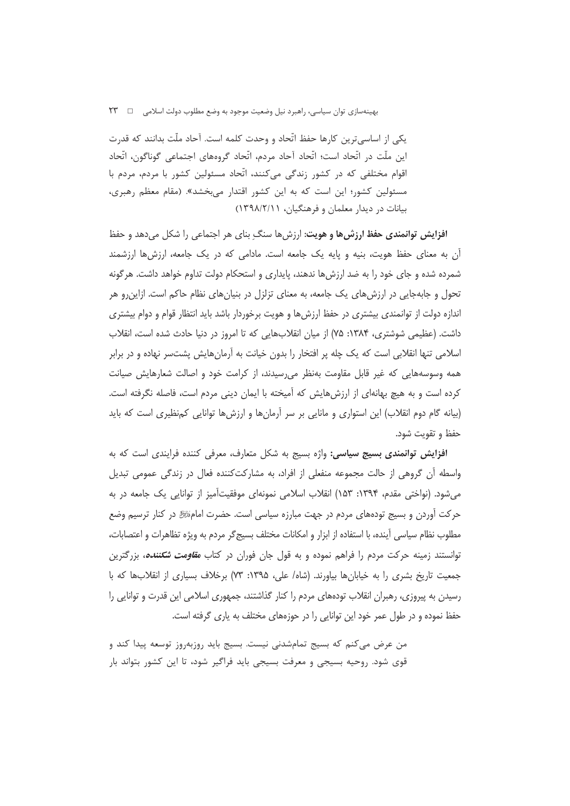یکی از اساسی ترین کارها حفظ اتّحاد و وحدت کلمه است. آحاد ملّت بدانند که قدرت این ملّت در اتّحاد است؛ اتّحاد آحاد مردم، اتّحاد گروههای اجتماعی گوناگون، اتّحاد اقوام مختلفی که در کشور زندگی میکنند، اتّحاد مسئولین کشور با مردم، مردم با مسئولین کشور؛ این است که به این کشور اقتدار میبخشد». (مقام معظم رهبری، بیانات در دیدار معلمان و فرهنگیان، ۱۳۹۸/۲/۱۱)

**افزایش توانمندی حفظ ارزشها و هویت:** ارزشها سنگ ِ بنای هر اجتماعی را شکل میدهد و حفظ ان به معنای حفظ هویت، بنیه و پایه یک جامعه است. مادامی که در یک جامعه، ارزشها ارزشمند شمرده شده و جای خود را به ضد ارزشها ندهند، پایداری و استحکام دولت تداوم خواهد داشت. هرگونه تحول و جابهجایی در ارزشهای یک جامعه، به معنای تزلزل در بنیانهای نظام حاکم است. ازاین رو هر اندازه دولت از توانمندی بیشتری در حفظ ارزش ها و هویت برخوردار باشد باید انتظار قوام و دوام بیشتری داشت. (عظیمی شوشتری، ۱۳۸۴: ۷۵) از میان انقلابهایی که تا امروز در دنیا حادث شده است، انقلاب اسلامی تنها انقلابی است که یک چله پر افتخار را بدون خیانت به آرمانهایش پشتسر نهاده و در برابر همه وسوسههایی که غیر قابل مقاومت بهنظر می رسیدند، از کرامت خود و اصالت شعارهایش صیانت کرده است و به هیچ بهانهای از ارزش هایش که آمیخته با ایمان دینی مردم است، فاصله نگرفته است. (بیانه گام دوم انقلاب) این استواری و مانایی بر سر آرمانها و ارزشها توانایی کمنظیری است که باید حفظ و تقويت شود.

**افزایش توانمندی بسیج سیاسی:** واژه بسیج به شکل متعارف، معرفی کننده فرایندی است که به واسطه أن گروهی از حالت مجموعه منفعلی از افراد، به مشارکتکننده فعال در زندگی عمومی تبدیل میشود. (نواختی مقدم، ۱۳۹۴: ۱۵۳) انقلاب اسلامی نمونهای موفقیتأمیز از توانایی یک جامعه در به حرکت آوردن و بسیج تودههای مردم در جهت مبارزه سیاسی است. حضرت امامﷺ در کنار ترسیم وضع مطلوب نظام سیاسی آینده، با استفاده از ابزار و امکانات مختلف بسیج گر مردم به ویژه تظاهرات و اعتصابات، توانستند زمینه حرکت مردم را فراهم نموده و به قول جان فوران در کتاب *مقاومت شکننده،* بزرگترین جمعیت تاریخ بشری را به خیابانها بیاورند. (شاه/ علی، ۱۳۹۵: ۷۳) برخلاف بسیاری از انقلابها که با رسیدن به پیروزی، رهبران انقلاب تودههای مردم را کنار گذاشتند، جمهوری اسلامی این قدرت و توانایی را حفظ نموده و در طول عمر خود این توانایی را در حوزههای مختلف به یاری گرفته است.

من عرض میکنم که بسیج تمامشدنی نیست. بسیج باید روزبهروز توسعه پیدا کند و قوی شود. روحیه بسیجی و معرفت بسیجی باید فراگیر شود، تا این کشور بتواند بار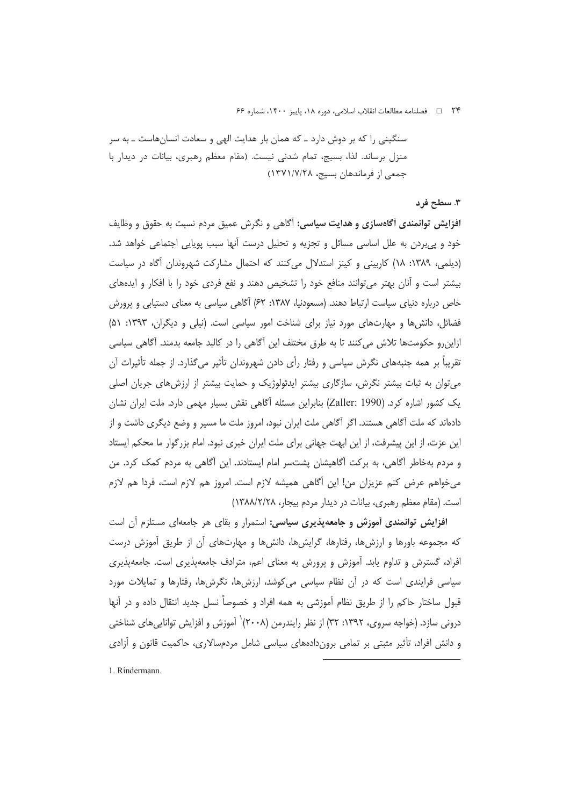٢۴ = فصلنامه مطالعات انقلاب اسلامي، دوره ١٨، پاييز ١۴٠٠، شماره ۶۶

سنگینی را که بر دوش دارد ــ که همان بار هدایت الهی و سعادت انسانهاست ــ به سر منزل برساند. لذا، بسیج، تمام شدنی نیست. (مقام معظم رهبری، بیانات در دیدار با جمعی از فرماندهان بسیج، ۱۳۷۱/۷/۲۸)

#### ۳. سطح فرد

افزایش توانمندی آگاهسازی و هدایت سیاسی: آگاهی و نگرش عمیق مردم نسبت به حقوق و وظایف خود و پی بردن به علل اساسی مسائل و تجزیه و تحلیل درست آنها سبب پویایی اجتماعی خواهد شد. (دیلمی، ۱۳۸۹: ۱۸) کاربینی و کینز استدلال میکنند که احتمال مشارکت شهروندان آگاه در سیاست بیشتر است و آنان بهتر می توانند منافع خود را تشخیص دهند و نفع فردی خود را با افکار و ایدههای خاص درباره دنیای سیاست ارتباط دهند. (مسعودنیا، ۱۳۸۷: ۶۲) آگاهی سیاسی به معنای دستیابی و پرورش فضائل، دانش ها و مهارت های مورد نیاز برای شناخت امور سیاسی است. (نیلی و دیگران، ۱۳۹۳: ۵۱) ازاین٫رو حکومتها تلاش می کنند تا به طرق مختلف این آگاهی را در کالبد جامعه بدمند. آگاهی سیاسی تقریباً بر همه جنبههای نگرش سیاسی و رفتار رأی دادن شهروندان تأثیر میگذارد. از جمله تأثیرات آن می توان به ثبات بیشتر نگرش، سازگاری بیشتر ایدئولوژیک و حمایت بیشتر از ارزش های جریان اصلی یک کشور اشاره کرد. (Zaller: 1990) بنابراین مسئله آگاهی نقش بسیار مهمی دارد. ملت ایران نشان دادهاند که ملت آگاهی هستند. اگر آگاهی ملت ایران نبود، امروز ملت ما مسیر و وضع دیگری داشت و از این عزت، از این پیشرفت، از این ابهت جهانی برای ملت ایران خبری نبود. امام بزرگوار ما محکم ایستاد و مردم بهخاطر أگاهي، به بركت أگاهيشان پشتسر امام ايستادند. اين أگاهي به مردم كمک كرد. من می خواهم عرض کنم عزیزان من! این آگاهی همیشه لازم است. امروز هم لازم است، فردا هم لازم است. (مقام معظم رهبری، بیانات در دیدار مردم بیجار، ۱۳۸۸/۲/۲۸)

افزایش توانمندی آموزش و جامعهپذیری سیاسی: استمرار و بقای هر جامعهای مستلزم آن است که مجموعه باورها و ارزشها، رفتارها، گرایشها، دانشها و مهارتهای آن از طریق آموزش درست افراد، گسترش و تداوم یابد. آموزش و پرورش به معنای اعم، مترادف جامعهپذیری است. جامعهپذیری سیاسی فرایندی است که در آن نظام سیاسی میکوشد، ارزشها، نگرشها، رفتارها و تمایلات مورد قبول ساختار حاکم را از طریق نظام آموزشی به همه افراد و خصوصاً نسل جدید انتقال داده و در آنها درونی سازد. (خواجه سروی، ۱۳۹۲: ۳۲) از نظر رایندرمن (۲۰۰۸)` آموزش و افزایش توانایی های شناختی و دانش افراد، تأثیر مثبتی بر تمامی بروندادههای سیاسی شامل مردمسالاری، حاکمیت قانون و آزادی

1. Rindermann.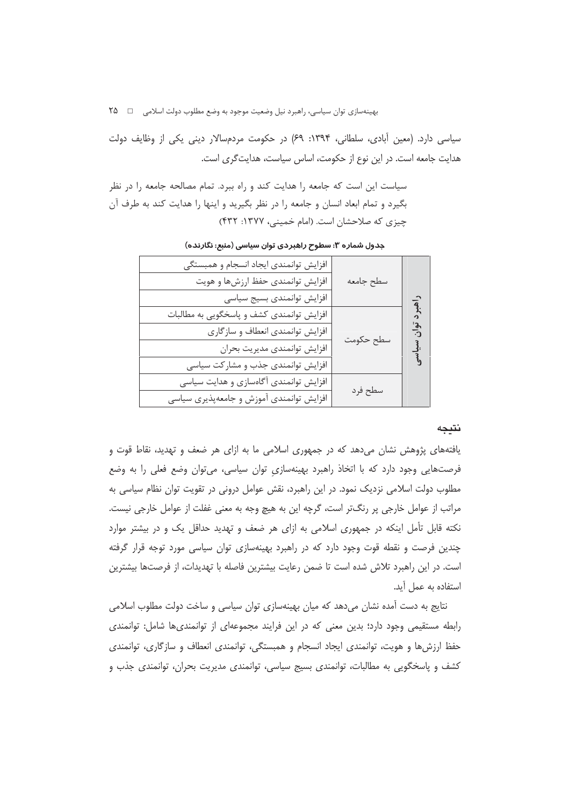سیاسی دارد. (معین آبادی، سلطانی، ۱۳۹۴: ۶۹) در حکومت مردمسالار دینی یکی از وظایف دولت هدایت جامعه است. در این نوع از حکومت، اساس سیاست، هدایت گری است.

سیاست این است که جامعه را هدایت کند و راه ببرد. تمام مصالحه جامعه را در نظر بگیرد و تمام ابعاد انسان و جامعه را در نظر بگیرید و اینها را هدایت کند به طرف آن چیزی که صلاحشان است. (امام خمینی، ۱۳۷۷: ۴۳۲)

|                         |           | افزایش توانمندی ایجاد انسجام و همبستگی    |
|-------------------------|-----------|-------------------------------------------|
|                         | سطح جامعه | افزایش توانمندی حفظ ارزشها و هویت         |
|                         |           | افزايش توانمندى بسيج سياسى                |
| .<br>آهنر د<br>نوا<br>د |           | افزایش توانمندی کشف و پاسخگویی به مطالبات |
|                         | سطح حكومت | افزایش توانمندی انعطاف و سازگاری          |
| سياسى                   |           | افزايش توانمندى مديريت بحران              |
|                         |           | افزایش توانمندی جذب و مشارکت سیاسی        |
|                         | سطح فرد   | افزایش توانمندی آگاهسازی و هدایت سیاسی    |
|                         |           | افزایش توانمندی آموزش و جامعهپذیری سیاسی  |
|                         |           |                                           |

جدول شماره ۳: سطوح راهبردی توان سیاسی (منبع: نگارنده)

#### نتيجه

یافتههای پژوهش نشان میدهد که در جمهوری اسلامی ما به ازای هر ضعف و تهدید، نقاط قوت و فرصتهایی وجود دارد که با اتخاذ راهبرد بهینهسازی توان سیاسی، میتوان وضع فعلی را به وضع مطلوب دولت اسلامی نزدیک نمود. در این راهبرد، نقش عوامل درونی در تقویت توان نظام سیاسی به مراتب از عوامل خارجی پر رنگتر است، گرچه این به هیچ وجه به معنی غفلت از عوامل خارجی نیست. نکته قابل تأمل اینکه در جمهوری اسلامی به ازای هر ضعف و تهدید حداقل یک و در بیشتر موارد چندین فرصت و نقطه قوت وجود دارد که در راهبرد بهینهسازی توان سیاسی مورد توجه قرار گرفته است. در این راهبرد تلاش شده است تا ضمن رعایت بیشترین فاصله با تهدیدات، از فرصتها بیشترین استفاده به عمل آید.

نتایج به دست آمده نشان میدهد که میان بهینهسازی توان سیاسی و ساخت دولت مطلوب اسلامی رابطه مستقیمی وجود دارد؛ بدین معنی که در این فرایند مجموعهای از توانمندیها شامل: توانمندی حفظ ارزش ها و هويت، توانمندي ايجاد انسجام و همبستگي، توانمندي انعطاف و سازگاري، توانمندي کشف و پاسخگویی به مطالبات، توانمندی بسیج سیاسی، توانمندی مدیریت بحران، توانمندی جذب و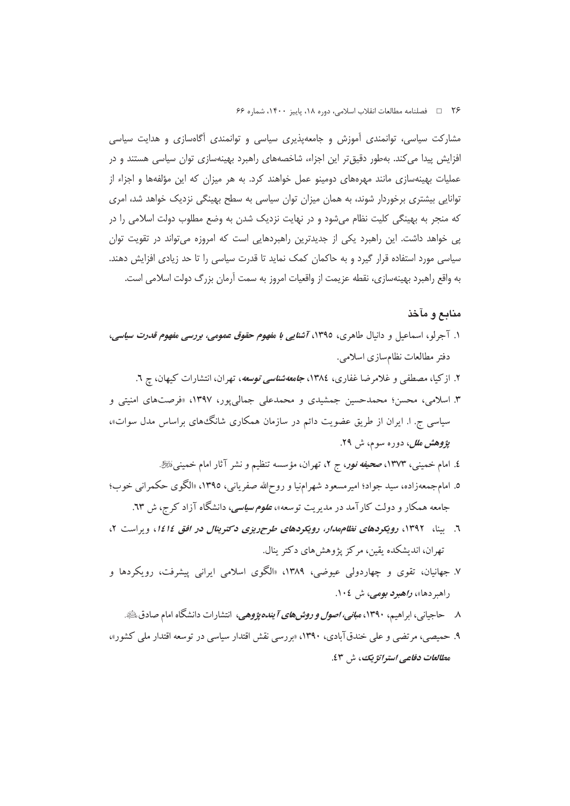٢۶ ه ه السلام الله على الله على الله عليه الله عليه ١٤٠٠، شماره ع

مشارکت سیاسی، توانمندی آموزش و جامعهپذیری سیاسی و توانمندی آگاهسازی و هدایت سیاسی افزایش پیدا می کند. بهطور دقیق تر این اجزاء، شاخصههای راهبرد بهینهسازی توان سیاسی هستند و در عملیات بهینهسازی مانند مهرههای دومینو عمل خواهند کرد. به هر میزان که این مؤلفهها و اجزاء از توانایی بیشتری برخوردار شوند، به همان میزان توان سیاسی به سطح بهینگی نزدیک خواهد شد، امری که منجر به بهینگی کلیت نظام میشود و در نهایت نزدیک شدن به وضع مطلوب دولت اسلامی را در یی خواهد داشت. این راهبرد یکی از جدیدترین راهبردهایی است که امروزه می تواند در تقویت توان سیاسی مورد استفاده قرار گیرد و به حاکمان کمک نماید تا قدرت سیاسی را تا حد زیادی افزایش دهند. به واقع راهبرد بهينهسازي، نقطه عزيمت از واقعيات امروز به سمت آرمان بزرگ دولت اسلامي است.

## منابع و مآخذ

- ۱. آجرلو، اسماعیل و دانیال طاهری، ۱۳۹٥، *آشنایی با مفهوم حقوق عمومی، بررسی مفهوم قدرت سیاسی*، دفتر مطالعات نظامسازی اسلامی.
	- ۲. ازکیا، مصطفی و غلامرضا غفاری، ۱۳۸٤، *جامعهشناسی توسعه*، تهران، انتشارات کیهان، چ ٦.
- ۳. اسلامی، محسن؛ محمدحسین جمشیدی و محمدعلی جمالیپور، ۱۳۹۷، «فرصتهای امنیتی و سیاسی ج. ا. ایران از طریق عضویت دائم در سازمان همکاری شانگ های براساس مدل سوات»، پ*ژوهش ملل*، دوره سوم، ش ۲۹.
	- ٤. امام خمینبی، ١٣٧٣، صح*یفه نور*، ج ٢، تهران، مؤسسه تنظیم و نشر آثار امام خمینبی،*نئی .*
- ٥. امامجمعهزاده، سيد جواد؛ اميرمسعود شهرامنيا و روحالله صفرياني، ١٣٩٥، «الگوي حكمراني خوب؛ جامعه همکار و دولت کارآمد در مدیریت توسعه»، *علوم سیاسی*، دانشگاه آزاد کرج، ش ٦٣.
- ٦. بینا، ١٣٩٢، رویکردهای نظام مدار، رویکردهای طرح ریزی دکترینال در افق ١٤١٤، ویراست ٢، تهران، انديشكده يقين، مركز پژوهش هاي دكتر بنال.
- ۷. جهانیان، تقوی و چهاردولی عیوضی، ۱۳۸۹، «الگوی اسلامی ایرانی پیشرفت، رویکردها و راهبر دها»، ر*اهبود بومی،* ش ١٠٤.
	- ۸ ـ حاجیانی، ابراهیم، ۱۳۹۰، *مبانی، اصول و روشهای آ بنده پژوهی*، انتشارات دانشگاه امام صادقﷺ.
- ۹. حمیصبی، مرتضبی و علی خندقآبادی، ۱۳۹۰، «بررسی نقش اقتدار سیاسی در توسعه اقتدار ملی کشور»، مطالعات دفاعے استراتژ یک، ش ٤٣.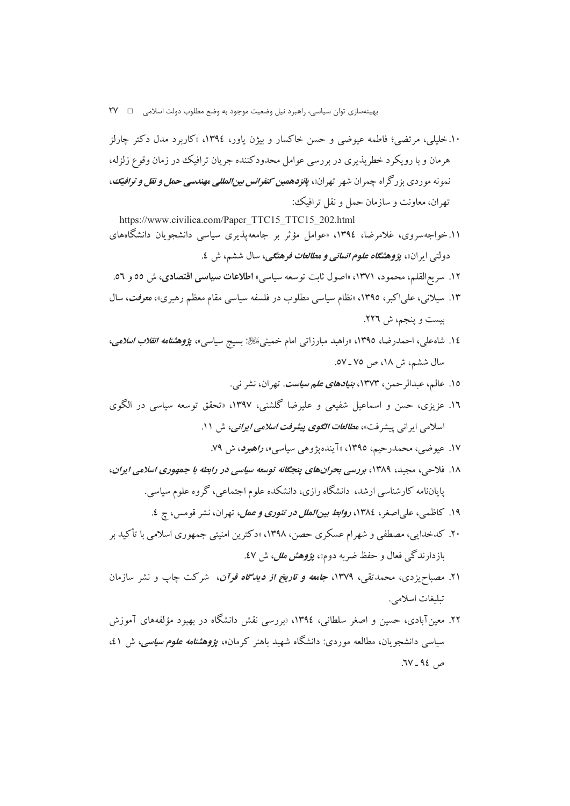۱۰.خلیلی، مرتضی؛ فاطمه عبوضی و حسن خاکسار و پیژن باور، ۱۳۹٤، «کاربرد مدل دکتر چارلز هرمان و با رویکرد خطریذیری در بررسی عوامل محدودکننده جریان ترافیک در زمان وقوع زلزله، نمونه موردی بزرگراه چمران شهر تهران»، *پانزدهمین کنفرانس بینالمللی مهندسی حمل و نقل و ترافیک*، تهران، معاونت و سازمان حمل و نقل ترافیک:

https://www.civilica.com/Paper TTC15 TTC15 202.html ۱۱.خواجهسروی، غلامرضا، ۱۳۹٤، «عوامل مؤثر بر جامعهپذیری سیاسی دانشجویان دانشگاههای دولتي ايران»، ي*ژوهشگاه علوم انساني و مطالعات فرهنگي*، سال ششم، ش ٤.

- ١٢. سريع القلم، محمود، ١٣٧١، «اصول ثابت توسعه سياسي» اطلاعات **سياسي اقتصادي**، ش ٥٥ و ٥٦.
- ۱۳. سیلانی، علیاکبر، ۱۳۹۵، «نظام سیاسی مطلوب در فلسفه سیاسی مقام معظم رهبری»، معرفت، سال بیست و پنجم، ش ٢٢٦.
- ١٤. شاه علي، احمدرضا، ١٣٩٥، «راهبد مبارزات<sub>ی</sub> امام خمینیﷺ: بسیج سیاسی»، *پژوهشنامه انقلاب اسلامی*، سال ششم، ش ١٨، ص ٧٥ ـ ٥٧.
	- ۱۵. عالم، عبدالرحمن، ۱۳۷۳، *بنیادهای علم سیاست*. تهران، نشر نی.
- ۱۲. عزیزی، حسن و اسماعیل شفیعی و علیرضا گلشنی، ۱۳۹۷، «تحقق توسعه سیاسی در الگوی اسلامی ایرانی پیشرفت»، م*طالعات الگوی پیشرفت اسلامی ایرانی*، ش ۱۱.
	- ۱۷. عیوضی، محمدرحیم، ۱۳۹٥، «آیندهپژوهی سیاسی»، *راهبرد*، ش ۷۹.
- ١٨. فلاحي، مجيد، ١٣٨٩، بررسي بحران هاي ينجكانه توسعه سياسي در رابطه با جمهوري اسلامي ايران، پایاننامه کارشناسی ارشد، دانشگاه رازی، دانشکده علوم اجتماعی، گروه علوم سیاسی.
	- ۱۹. كاظمى، علىاصغر، ۱۳۸٤، *روابط بينالملل در تئورى و عمل*، تهران، نشر قومس، ج ٤.
- ۲۰. کدخدایی، مصطفی و شهرام عسکری حصن، ۱۳۹۸، «دکترین امنیتی جمهوری اسلامی با تأکید بر بازدارندگی فعال و حفظ ضربه دوم»، ب*ؤوهش ملل،* ش ٤٧.
- ۲۱. مصباحیزدی، محمدتقی، ۱۳۷۹، *جامعه و تاریخ از دیدگاه قوآن*، شرکت چاپ و نشر سازمان تىلىغات اسلامى.
- ۲۲. معینآبادی، حسین و اصغر سلطانی، ۱۳۹٤، «بررسی نقش دانشگاه در بهبود مؤلفههای آموزش سیاسی دانشجویان، مطالعه موردی: دانشگاه شهید باهنر کرمان»، *پژوهشنامه علوم سیاسی،* ش ٤١،  $7V - 92$